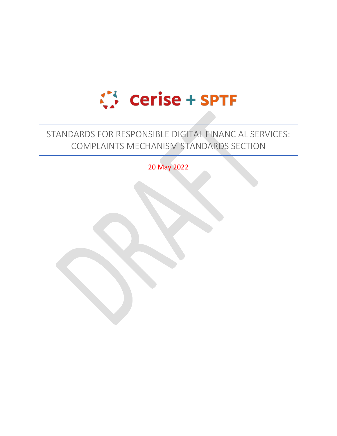

# STANDARDS FOR RESPONSIBLE DIGITAL FINANCIAL SERVICES: COMPLAINTS MECHANISM STANDARDS SECTION

20 May 2022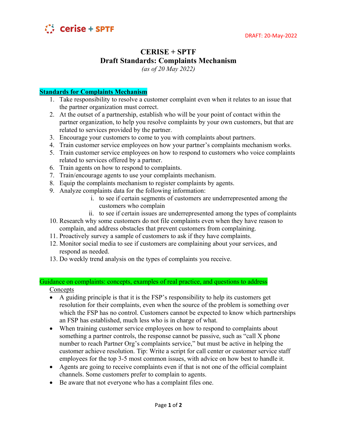

## **CERISE + SPTF Draft Standards: Complaints Mechanism**

*(as of 20 May 2022)*

### **Standards for Complaints Mechanism**

- 1. Take responsibility to resolve a customer complaint even when it relates to an issue that the partner organization must correct.
- 2. At the outset of a partnership, establish who will be your point of contact within the partner organization, to help you resolve complaints by your own customers, but that are related to services provided by the partner.
- 3. Encourage your customers to come to you with complaints about partners.
- 4. Train customer service employees on how your partner's complaints mechanism works.
- 5. Train customer service employees on how to respond to customers who voice complaints related to services offered by a partner.
- 6. Train agents on how to respond to complaints.
- 7. Train/encourage agents to use your complaints mechanism.
- 8. Equip the complaints mechanism to register complaints by agents.
- 9. Analyze complaints data for the following information:
	- i. to see if certain segments of customers are underrepresented among the customers who complain
	- ii. to see if certain issues are underrepresented among the types of complaints
- 10. Research why some customers do not file complaints even when they have reason to complain, and address obstacles that prevent customers from complaining.
- 11. Proactively survey a sample of customers to ask if they have complaints.
- 12. Monitor social media to see if customers are complaining about your services, and respond as needed.
- 13. Do weekly trend analysis on the types of complaints you receive.

#### Guidance on complaints: concepts, examples of real practice, and questions to address **Concepts**

- $\bullet$  A guiding principle is that it is the FSP's responsibility to help its customers get resolution for their complaints, even when the source of the problem is something over which the FSP has no control. Customers cannot be expected to know which partnerships an FSP has established, much less who is in charge of what.
- When training customer service employees on how to respond to complaints about something a partner controls, the response cannot be passive, such as "call  $X$  phone number to reach Partner Org's complaints service," but must be active in helping the customer achieve resolution. Tip: Write a script for call center or customer service staff employees for the top 3-5 most common issues, with advice on how best to handle it.
- Agents are going to receive complaints even if that is not one of the official complaint channels. Some customers prefer to complain to agents.
- Be aware that not everyone who has a complaint files one.